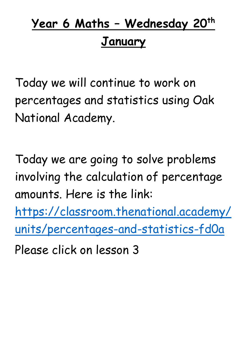## **Year 6 Maths – Wednesday 20th January**

Today we will continue to work on percentages and statistics using Oak National Academy.

Today we are going to solve problems involving the calculation of percentage amounts. Here is the link:

[https://classroom.thenational.academy/](https://classroom.thenational.academy/units/percentages-and-statistics-fd0a) [units/percentages-and-statistics-fd0a](https://classroom.thenational.academy/units/percentages-and-statistics-fd0a)

Please click on lesson 3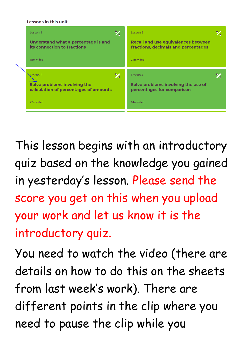**Lessons in this unit** 



This lesson begins with an introductory quiz based on the knowledge you gained in yesterday's lesson. Please send the score you get on this when you upload your work and let us know it is the introductory quiz.

You need to watch the video (there are details on how to do this on the sheets from last week's work). There are different points in the clip where you need to pause the clip while you